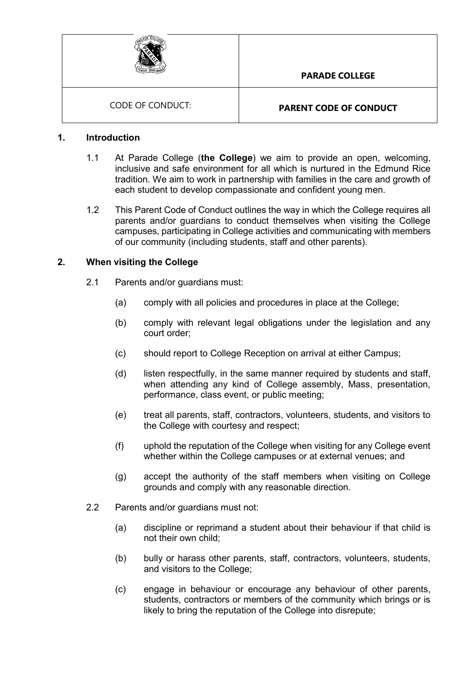

## **1. Introduction**

- 1.1 At Parade College (**the College**) we aim to provide an open, welcoming, inclusive and safe environment for all which is nurtured in the Edmund Rice tradition. We aim to work in partnership with families in the care and growth of each student to develop compassionate and confident young men.
- 1.2 This Parent Code of Conduct outlines the way in which the College requires all parents and/or guardians to conduct themselves when visiting the College campuses, participating in College activities and communicating with members of our community (including students, staff and other parents).

## **2. When visiting the College**

- 2.1 Parents and/or guardians must:
	- (a) comply with all policies and procedures in place at the College;
	- (b) comply with relevant legal obligations under the legislation and any court order;
	- (c) should report to College Reception on arrival at either Campus;
	- (d) listen respectfully, in the same manner required by students and staff, when attending any kind of College assembly, Mass, presentation, performance, class event, or public meeting;
	- (e) treat all parents, staff, contractors, volunteers, students, and visitors to the College with courtesy and respect;
	- (f) uphold the reputation of the College when visiting for any College event whether within the College campuses or at external venues; and
	- (g) accept the authority of the staff members when visiting on College grounds and comply with any reasonable direction.
- 2.2 Parents and/or guardians must not:
	- (a) discipline or reprimand a student about their behaviour if that child is not their own child;
	- (b) bully or harass other parents, staff, contractors, volunteers, students, and visitors to the College;
	- (c) engage in behaviour or encourage any behaviour of other parents, students, contractors or members of the community which brings or is likely to bring the reputation of the College into disrepute;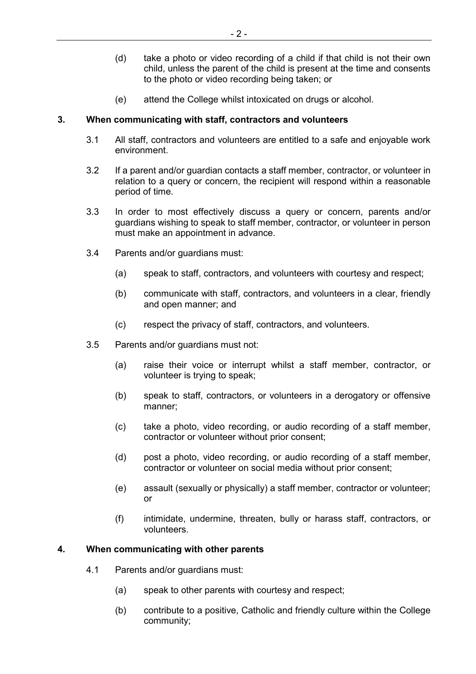- (d) take a photo or video recording of a child if that child is not their own child, unless the parent of the child is present at the time and consents to the photo or video recording being taken; or
- (e) attend the College whilst intoxicated on drugs or alcohol.

# **3. When communicating with staff, contractors and volunteers**

- 3.1 All staff, contractors and volunteers are entitled to a safe and enjoyable work environment.
- 3.2 If a parent and/or guardian contacts a staff member, contractor, or volunteer in relation to a query or concern, the recipient will respond within a reasonable period of time.
- 3.3 In order to most effectively discuss a query or concern, parents and/or guardians wishing to speak to staff member, contractor, or volunteer in person must make an appointment in advance.
- 3.4 Parents and/or guardians must:
	- (a) speak to staff, contractors, and volunteers with courtesy and respect;
	- (b) communicate with staff, contractors, and volunteers in a clear, friendly and open manner; and
	- (c) respect the privacy of staff, contractors, and volunteers.
- 3.5 Parents and/or guardians must not:
	- (a) raise their voice or interrupt whilst a staff member, contractor, or volunteer is trying to speak;
	- (b) speak to staff, contractors, or volunteers in a derogatory or offensive manner;
	- (c) take a photo, video recording, or audio recording of a staff member, contractor or volunteer without prior consent;
	- (d) post a photo, video recording, or audio recording of a staff member, contractor or volunteer on social media without prior consent;
	- (e) assault (sexually or physically) a staff member, contractor or volunteer; or
	- (f) intimidate, undermine, threaten, bully or harass staff, contractors, or volunteers.

#### **4. When communicating with other parents**

- 4.1 Parents and/or guardians must:
	- (a) speak to other parents with courtesy and respect;
	- (b) contribute to a positive, Catholic and friendly culture within the College community;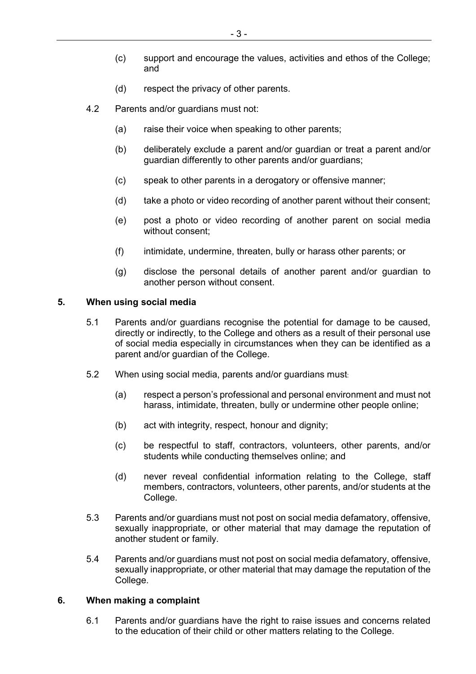- (c) support and encourage the values, activities and ethos of the College; and
- (d) respect the privacy of other parents.
- 4.2 Parents and/or guardians must not:
	- (a) raise their voice when speaking to other parents;
	- (b) deliberately exclude a parent and/or guardian or treat a parent and/or guardian differently to other parents and/or guardians;
	- (c) speak to other parents in a derogatory or offensive manner;
	- (d) take a photo or video recording of another parent without their consent;
	- (e) post a photo or video recording of another parent on social media without consent;
	- (f) intimidate, undermine, threaten, bully or harass other parents; or
	- (g) disclose the personal details of another parent and/or guardian to another person without consent.

#### **5. When using social media**

- 5.1 Parents and/or guardians recognise the potential for damage to be caused, directly or indirectly, to the College and others as a result of their personal use of social media especially in circumstances when they can be identified as a parent and/or guardian of the College.
- 5.2 When using social media, parents and/or guardians must:
	- (a) respect a person's professional and personal environment and must not harass, intimidate, threaten, bully or undermine other people online;
	- (b) act with integrity, respect, honour and dignity;
	- (c) be respectful to staff, contractors, volunteers, other parents, and/or students while conducting themselves online; and
	- (d) never reveal confidential information relating to the College, staff members, contractors, volunteers, other parents, and/or students at the College.
- 5.3 Parents and/or guardians must not post on social media defamatory, offensive, sexually inappropriate, or other material that may damage the reputation of another student or family.
- 5.4 Parents and/or guardians must not post on social media defamatory, offensive, sexually inappropriate, or other material that may damage the reputation of the College.

#### **6. When making a complaint**

6.1 Parents and/or guardians have the right to raise issues and concerns related to the education of their child or other matters relating to the College.